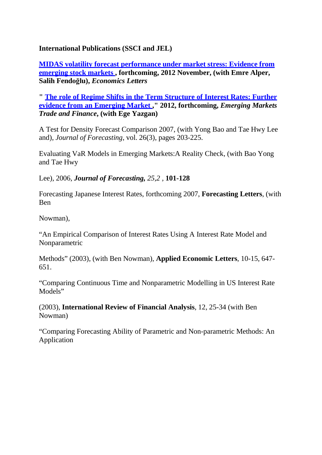**International Publications (SSCI and JEL)**

**MIDAS [volatility forecast](http://dx.doi.org/10.1016/j.econlet.2012.05.037) performance under market stress: Evidence from [emerging](http://dx.doi.org/10.1016/j.econlet.2012.05.037) stock markets , forthcoming, 2012 November, (with Emre Alper, Salih Fendoğlu),** *Economics Letters*

**" The role of Regime Shifts in the Term Structure of Interest Rates: Further evidence from an Emerging Market ," 2012, forthcoming,** *Emerging Markets Trade and Finance***, (with Ege Yazgan)**

A Test for Density Forecast Comparison 2007, (with Yong Bao and Tae Hwy Lee and), *Journal of Forecasting*, vol. 26(3), pages 203-225.

Evaluating VaR Models in Emerging Markets:A Reality Check, (with Bao Yong and Tae Hwy

Lee), 2006, *Journal of Forecasting, 25,2 ,* **101-128**

Forecasting Japanese Interest Rates, forthcoming 2007, **Forecasting Letters**, (with Ben

Nowman),

"An Empirical Comparison of Interest Rates Using A Interest Rate Model and Nonparametric

Methods" (2003), (with Ben Nowman), **Applied Economic Letters**, 10-15, 647- 651.

"Comparing Continuous Time and Nonparametric Modelling in US Interest Rate Models"

(2003), **International Review of Financial Analysis**, 12, 25-34 (with Ben Nowman)

"Comparing Forecasting Ability of Parametric and Non-parametric Methods: An Application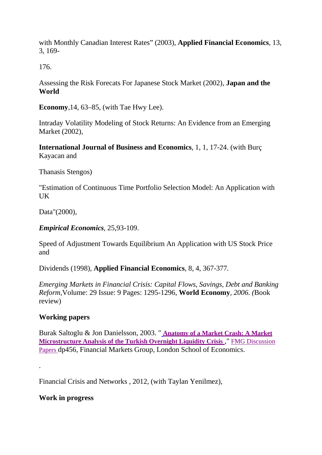with Monthly Canadian Interest Rates" (2003), **Applied Financial Economics**, 13, 3, 169-

176.

Assessing the Risk Forecats For Japanese Stock Market (2002), **Japan and the World**

**Economy**,14, 63–85, (with Tae Hwy Lee).

Intraday Volatility Modeling of Stock Returns: An Evidence from an Emerging Market (2002),

**International Journal of Business and Economics**, 1, 1, 17-24. (with Burç Kayacan and

Thanasis Stengos)

"Estimation of Continuous Time Portfolio Selection Model: An Application with UK

Data"(2000),

*Empirical Economics,* 25,93-109.

Speed of Adjustment Towards Equilibrium An Application with US Stock Price and

Dividends (1998), **Applied Financial Economics***,* 8, 4, 367-377*.*

*Emerging Markets in Financial Crisis: Capital Flows, Savings, Debt and Banking Reform,*Volume: 29 Issue: 9 Pages: 1295-1296*,* **World Economy***, 2006. (*Book review)

## **Working papers**

Burak Saltoglu & Jon Danielsson, 2003. " **[Anatomy of](https://mail.google.com/p/fmg/fmgdps/dp456.html) a Market Crash: A Market [Microstructure Analysis of the Turkish](https://mail.google.com/p/fmg/fmgdps/dp456.html) Overnight Liquidity Crisis** ," FMG [Discussion](https://mail.google.com/s/fmg/fmgdps.html) [Papers](https://mail.google.com/s/fmg/fmgdps.html) dp456, Financial Markets Group, London School of Economics.

Financial Crisis and Networks , 2012, (with Taylan Yenilmez),

**Work in progress**

.